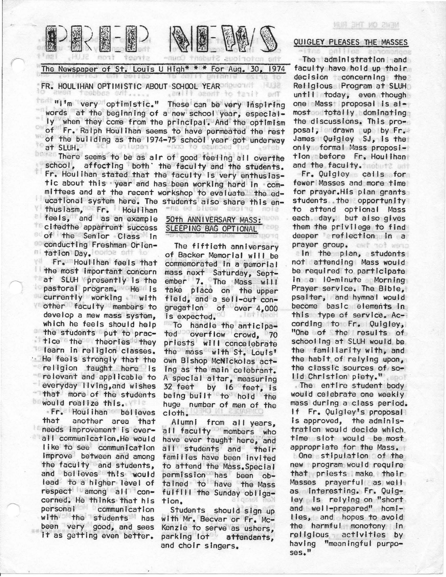

The Newspaper of St. Louis U High\* \* \* For Aug. 30, 1974

# FR. HOULIHAN OPTIMISTIC ABOUT SCHOOL YEAR RESERVED

"I'm very optimistic." These can be very inspiring words at the beginning of a new·school year, especially when they come from the principal. And the optimism of Fr. Ralph Houlihan seems to have permeated the rest of the building as the 1974-75 school year got underway at SLUH.

There seems to be as air of good feeling all overthe school, affecting both' the faculty and the students. Fr. Houlihan stated that the faculty Is very enthusiastic about this year and has been working hard in committees and at the recent workshop to evaluate the educational system here. The students also share this en-<br>thusiasm of Free Houlthan

VŦ. thusiasm, Fr. Houlihan feels, and as an example 50th ANNIVERSARY MASS:<br>Incited the appartment success SLEEPING BAG OPTIONAL **Clitedthe apparrent success** of the Sen'lor Class In conducting Freshman Orientation Day. Combe<br>Fr. Houllhan feels the

Fr. Houlihan feels that the most important concern at SLUH presently is the **pastoral program.** He Is currently working with other faculty members to develop a mew mass system, which he feels should help the students put to practice the theories they learn in religion' classes. He feels strongly that the religion taught here Is relevant and applicable to everyday llvlng,and wishes that more of the students **Would realize this.** 

· Fr. Houlihan believes another area that t e needs improvement is overall communication.He would like to see communication Improve between and among the faculty and students, and believes this would lead to a higher level of respect among' a II concerned. He thinks that his personal communication with the students has been very good, and sees It as getting even better.

【和时息 part<sup>1</sup>

The fiftieth anniversary of Backer Memorial will be commemorated in a memorial mass next Saturday, September 7. The Mass will take place on the upper field, and a sell-out congregation of over 4,000 Is expected.

To handle the anticipated overflow crowd, 70 priests will concelebrate the mass with St. Louis' own Bishop McNickolas act-<br>ing as the main celebrant. A special altar, measuring 32 feet by 16 feet, Is being built to hold the huge number of men of the cloth.

Alumni from all years, all faculty members who have ever taught here, and all students and their families have been Invited to attend the Mass.Speclal permission has been obtained to have the Mass fulfill the Sunday obligation.

Students should sign up with Mr. Becvar or Fr. Mc-Kenzie to serve as ushers, parking lot attendants, and choir singers.

## QUIGLEY PLEASES THE MASSES

The administration and faculty have held up their decision concerning the Religious Program at SLUH until today, even though one Mass· proposal Is almost totally dominating<br>the discussions. This pro-<br>posal, drawn up by Fr. James Quigley SJ, is the only formal Mass proposition - before Fr. Houlihan and the faculty.

Fr. Quigley calls for fewer·Masses and more time for prayer.His plan grants students . the opportunity to attend optional Mass each day, but also gives them the privilege to find deeper reflection In a prayer group. out not were

ain the plan, students not attending Mass would be required to participate In a 10-mlnute Morning Prayer service. The Bible, psalter, and hymnal would become basic elements In this type of service. Ac--<br>cording to Fr. Quigley, "One of the results of schooling at SLUH would be the familiarity with, and the habit of relying upon, the classic sources of so-

lid Christian piety." . . The entl re student body would celebrate one weekly mass during a class period. If Fr. Quigley's proposal Is approved, the adminis-<br>tration would decide which time slot would be most appropriate for the Mass • . One stipulation of the

new program would require that priests make their Masses prayerful as well as Interesting. Fr. Quigley Is relying on "short and well-prepared" homilies, and hopes to avoid the harmful monotony In religious activities by having "meaningful purposes."